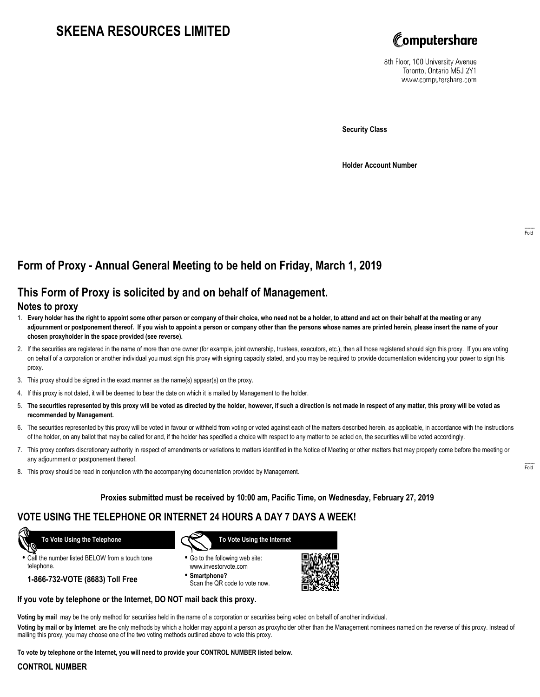# **SKEENA RESOURCES LIMITED**



8th Floor, 100 University Avenue Toronto, Ontario M5J 2Y1 www.computershare.com

**Security Class**

**Holder Account Number**

## **Form of Proxy - Annual General Meeting to be held on Friday, March 1, 2019**

## **This Form of Proxy is solicited by and on behalf of Management.**

### **Notes to proxy**

- 1. **Every holder has the right to appoint some other person or company of their choice, who need not be a holder, to attend and act on their behalf at the meeting or any adjournment or postponement thereof. If you wish to appoint a person or company other than the persons whose names are printed herein, please insert the name of your chosen proxyholder in the space provided (see reverse).**
- 2. If the securities are registered in the name of more than one owner (for example, joint ownership, trustees, executors, etc.), then all those registered should sign this proxy. If you are voting on behalf of a corporation or another individual you must sign this proxy with signing capacity stated, and you may be required to provide documentation evidencing your power to sign this proxy.
- 3. This proxy should be signed in the exact manner as the name(s) appear(s) on the proxy.
- 4. If this proxy is not dated, it will be deemed to bear the date on which it is mailed by Management to the holder.
- 5. **The securities represented by this proxy will be voted as directed by the holder, however, if such a direction is not made in respect of any matter, this proxy will be voted as recommended by Management.**
- 6. The securities represented by this proxy will be voted in favour or withheld from voting or voted against each of the matters described herein, as applicable, in accordance with the instructions of the holder, on any ballot that may be called for and, if the holder has specified a choice with respect to any matter to be acted on, the securities will be voted accordingly.
- 7. This proxy confers discretionary authority in respect of amendments or variations to matters identified in the Notice of Meeting or other matters that may properly come before the meeting or any adjournment or postponement thereof.
- 8. This proxy should be read in conjunction with the accompanying documentation provided by Management.

#### **Proxies submitted must be received by 10:00 am, Pacific Time, on Wednesday, February 27, 2019**

## **VOTE USING THE TELEPHONE OR INTERNET 24 HOURS A DAY 7 DAYS A WEEK!**

 **To Vote Using the Telephone**

- **•** Call the number listed BELOW from a touch tone telephone.
	- **1-866-732-VOTE (8683) Toll Free**



- **•** Go to the following web site: www.investorvote.com
- **• Smartphone?** Scan the QR code to vote now.



#### **If you vote by telephone or the Internet, DO NOT mail back this proxy.**

**Voting by mail** may be the only method for securities held in the name of a corporation or securities being voted on behalf of another individual.

**Voting by mail or by Internet** are the only methods by which a holder may appoint a person as proxyholder other than the Management nominees named on the reverse of this proxy. Instead of mailing this proxy, you may choose one of the two voting methods outlined above to vote this proxy.

**To vote by telephone or the Internet, you will need to provide your CONTROL NUMBER listed below.**

#### **CONTROL NUMBER**